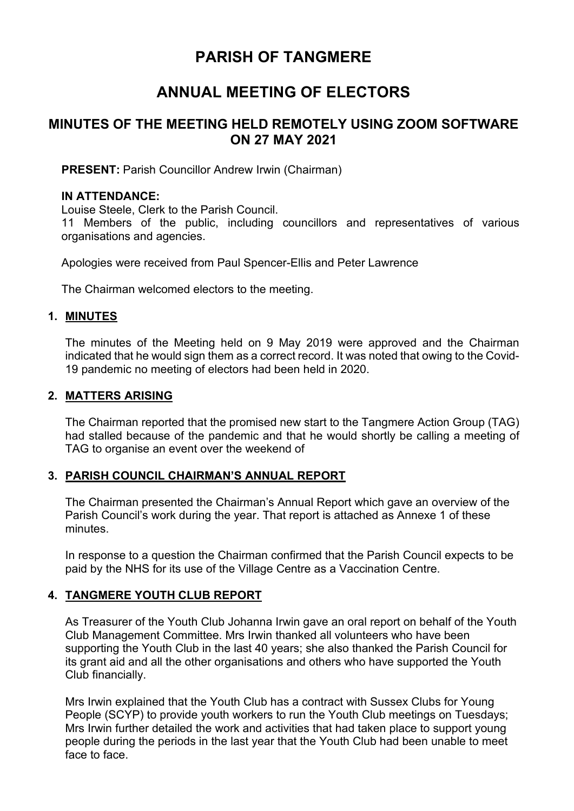# **PARISH OF TANGMERE**

# **ANNUAL MEETING OF ELECTORS**

# **MINUTES OF THE MEETING HELD REMOTELY USING ZOOM SOFTWARE ON 27 MAY 2021**

**PRESENT:** Parish Councillor Andrew Irwin (Chairman)

### **IN ATTENDANCE:**

Louise Steele, Clerk to the Parish Council.

11 Members of the public, including councillors and representatives of various organisations and agencies.

Apologies were received from Paul Spencer-Ellis and Peter Lawrence

The Chairman welcomed electors to the meeting.

### **1. MINUTES**

The minutes of the Meeting held on 9 May 2019 were approved and the Chairman indicated that he would sign them as a correct record. It was noted that owing to the Covid-19 pandemic no meeting of electors had been held in 2020.

## **2. MATTERS ARISING**

The Chairman reported that the promised new start to the Tangmere Action Group (TAG) had stalled because of the pandemic and that he would shortly be calling a meeting of TAG to organise an event over the weekend of

## **3. PARISH COUNCIL CHAIRMAN'S ANNUAL REPORT**

The Chairman presented the Chairman's Annual Report which gave an overview of the Parish Council's work during the year. That report is attached as Annexe 1 of these minutes.

In response to a question the Chairman confirmed that the Parish Council expects to be paid by the NHS for its use of the Village Centre as a Vaccination Centre.

## **4. TANGMERE YOUTH CLUB REPORT**

As Treasurer of the Youth Club Johanna Irwin gave an oral report on behalf of the Youth Club Management Committee. Mrs Irwin thanked all volunteers who have been supporting the Youth Club in the last 40 years; she also thanked the Parish Council for its grant aid and all the other organisations and others who have supported the Youth Club financially.

Mrs Irwin explained that the Youth Club has a contract with Sussex Clubs for Young People (SCYP) to provide youth workers to run the Youth Club meetings on Tuesdays; Mrs Irwin further detailed the work and activities that had taken place to support young people during the periods in the last year that the Youth Club had been unable to meet face to face.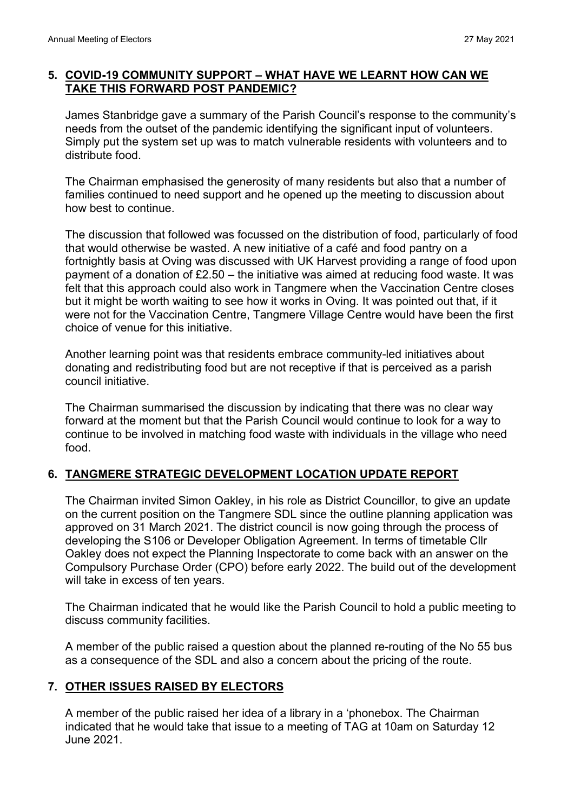## **5. COVID-19 COMMUNITY SUPPORT – WHAT HAVE WE LEARNT HOW CAN WE TAKE THIS FORWARD POST PANDEMIC?**

James Stanbridge gave a summary of the Parish Council's response to the community's needs from the outset of the pandemic identifying the significant input of volunteers. Simply put the system set up was to match vulnerable residents with volunteers and to distribute food.

The Chairman emphasised the generosity of many residents but also that a number of families continued to need support and he opened up the meeting to discussion about how best to continue.

The discussion that followed was focussed on the distribution of food, particularly of food that would otherwise be wasted. A new initiative of a café and food pantry on a fortnightly basis at Oving was discussed with UK Harvest providing a range of food upon payment of a donation of £2.50 – the initiative was aimed at reducing food waste. It was felt that this approach could also work in Tangmere when the Vaccination Centre closes but it might be worth waiting to see how it works in Oving. It was pointed out that, if it were not for the Vaccination Centre, Tangmere Village Centre would have been the first choice of venue for this initiative.

Another learning point was that residents embrace community-led initiatives about donating and redistributing food but are not receptive if that is perceived as a parish council initiative.

The Chairman summarised the discussion by indicating that there was no clear way forward at the moment but that the Parish Council would continue to look for a way to continue to be involved in matching food waste with individuals in the village who need food.

# **6. TANGMERE STRATEGIC DEVELOPMENT LOCATION UPDATE REPORT**

The Chairman invited Simon Oakley, in his role as District Councillor, to give an update on the current position on the Tangmere SDL since the outline planning application was approved on 31 March 2021. The district council is now going through the process of developing the S106 or Developer Obligation Agreement. In terms of timetable Cllr Oakley does not expect the Planning Inspectorate to come back with an answer on the Compulsory Purchase Order (CPO) before early 2022. The build out of the development will take in excess of ten years.

The Chairman indicated that he would like the Parish Council to hold a public meeting to discuss community facilities.

A member of the public raised a question about the planned re-routing of the No 55 bus as a consequence of the SDL and also a concern about the pricing of the route.

# **7. OTHER ISSUES RAISED BY ELECTORS**

A member of the public raised her idea of a library in a 'phonebox. The Chairman indicated that he would take that issue to a meeting of TAG at 10am on Saturday 12 June 2021.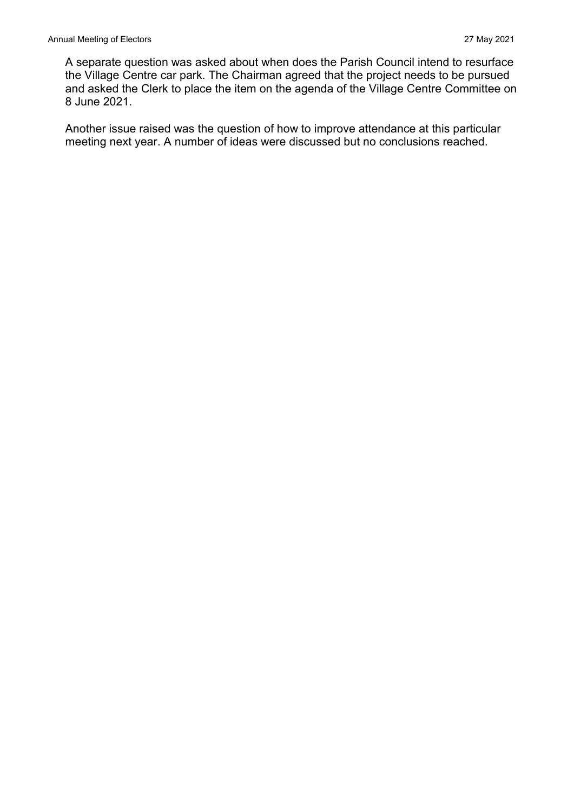A separate question was asked about when does the Parish Council intend to resurface the Village Centre car park. The Chairman agreed that the project needs to be pursued and asked the Clerk to place the item on the agenda of the Village Centre Committee on 8 June 2021.

Another issue raised was the question of how to improve attendance at this particular meeting next year. A number of ideas were discussed but no conclusions reached.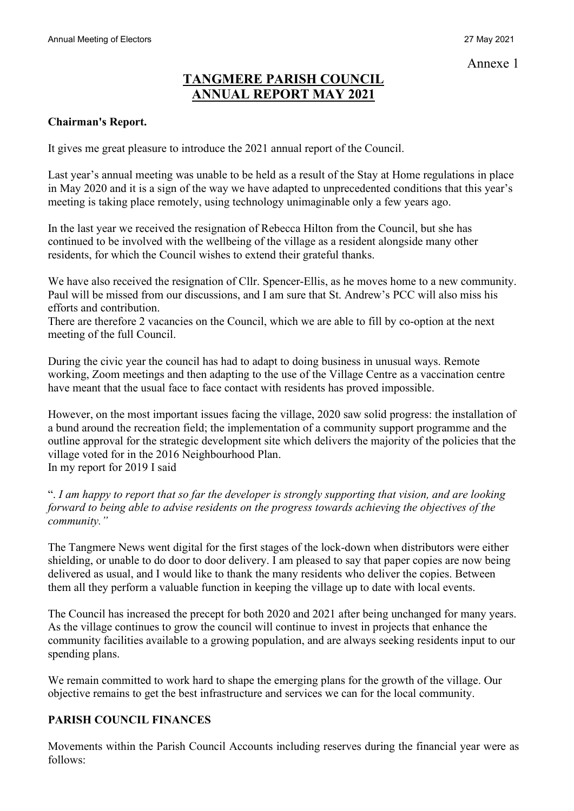# **TANGMERE PARISH COUNCIL ANNUAL REPORT MAY 2021**

## **Chairman's Report.**

It gives me great pleasure to introduce the 2021 annual report of the Council.

Last year's annual meeting was unable to be held as a result of the Stay at Home regulations in place in May 2020 and it is a sign of the way we have adapted to unprecedented conditions that this year's meeting is taking place remotely, using technology unimaginable only a few years ago.

In the last year we received the resignation of Rebecca Hilton from the Council, but she has continued to be involved with the wellbeing of the village as a resident alongside many other residents, for which the Council wishes to extend their grateful thanks.

We have also received the resignation of Cllr. Spencer-Ellis, as he moves home to a new community. Paul will be missed from our discussions, and I am sure that St. Andrew's PCC will also miss his efforts and contribution.

There are therefore 2 vacancies on the Council, which we are able to fill by co-option at the next meeting of the full Council.

During the civic year the council has had to adapt to doing business in unusual ways. Remote working, Zoom meetings and then adapting to the use of the Village Centre as a vaccination centre have meant that the usual face to face contact with residents has proved impossible.

However, on the most important issues facing the village, 2020 saw solid progress: the installation of a bund around the recreation field; the implementation of a community support programme and the outline approval for the strategic development site which delivers the majority of the policies that the village voted for in the 2016 Neighbourhood Plan. In my report for 2019 I said

". *I am happy to report that so far the developer is strongly supporting that vision, and are looking forward to being able to advise residents on the progress towards achieving the objectives of the community."* 

The Tangmere News went digital for the first stages of the lock-down when distributors were either shielding, or unable to do door to door delivery. I am pleased to say that paper copies are now being delivered as usual, and I would like to thank the many residents who deliver the copies. Between them all they perform a valuable function in keeping the village up to date with local events.

The Council has increased the precept for both 2020 and 2021 after being unchanged for many years. As the village continues to grow the council will continue to invest in projects that enhance the community facilities available to a growing population, and are always seeking residents input to our spending plans.

We remain committed to work hard to shape the emerging plans for the growth of the village. Our objective remains to get the best infrastructure and services we can for the local community.

# **PARISH COUNCIL FINANCES**

Movements within the Parish Council Accounts including reserves during the financial year were as follows: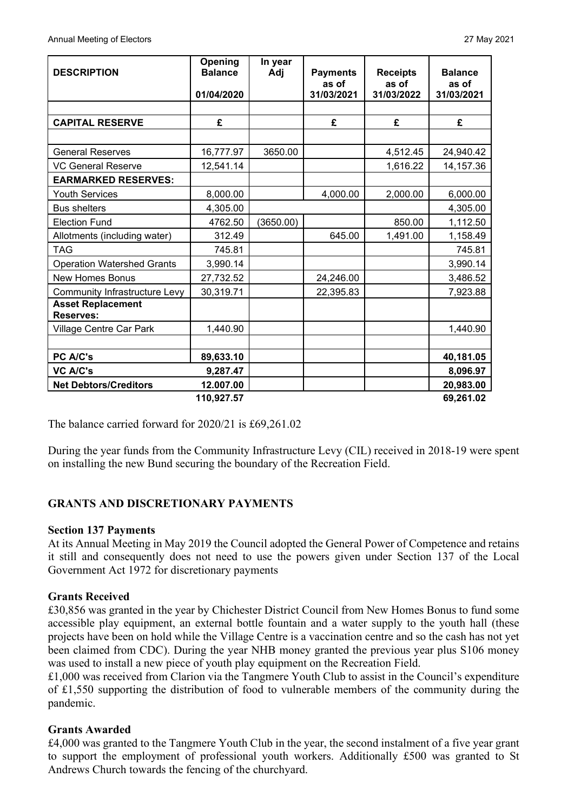| <b>DESCRIPTION</b>                           | Opening<br><b>Balance</b><br>01/04/2020 | In year<br>Adj | <b>Payments</b><br>as of<br>31/03/2021 | <b>Receipts</b><br>as of<br>31/03/2022 | <b>Balance</b><br>as of<br>31/03/2021 |
|----------------------------------------------|-----------------------------------------|----------------|----------------------------------------|----------------------------------------|---------------------------------------|
|                                              |                                         |                |                                        |                                        |                                       |
| <b>CAPITAL RESERVE</b>                       | £                                       |                | £                                      | £                                      | £                                     |
|                                              |                                         |                |                                        |                                        |                                       |
| <b>General Reserves</b>                      | 16,777.97                               | 3650.00        |                                        | 4,512.45                               | 24,940.42                             |
| <b>VC General Reserve</b>                    | 12,541.14                               |                |                                        | 1,616.22                               | 14,157.36                             |
| <b>EARMARKED RESERVES:</b>                   |                                         |                |                                        |                                        |                                       |
| <b>Youth Services</b>                        | 8,000.00                                |                | 4,000.00                               | 2,000.00                               | 6,000.00                              |
| <b>Bus shelters</b>                          | 4,305.00                                |                |                                        |                                        | 4,305.00                              |
| <b>Election Fund</b>                         | 4762.50                                 | (3650.00)      |                                        | 850.00                                 | 1,112.50                              |
| Allotments (including water)                 | 312.49                                  |                | 645.00                                 | 1,491.00                               | 1,158.49                              |
| <b>TAG</b>                                   | 745.81                                  |                |                                        |                                        | 745.81                                |
| <b>Operation Watershed Grants</b>            | 3,990.14                                |                |                                        |                                        | 3,990.14                              |
| <b>New Homes Bonus</b>                       | 27,732.52                               |                | 24,246.00                              |                                        | 3,486.52                              |
| <b>Community Infrastructure Levy</b>         | 30,319.71                               |                | 22,395.83                              |                                        | 7,923.88                              |
| <b>Asset Replacement</b><br><b>Reserves:</b> |                                         |                |                                        |                                        |                                       |
| Village Centre Car Park                      | 1,440.90                                |                |                                        |                                        | 1,440.90                              |
|                                              |                                         |                |                                        |                                        |                                       |
| PC A/C's                                     | 89,633.10                               |                |                                        |                                        | 40,181.05                             |
| <b>VC A/C's</b>                              | 9,287.47                                |                |                                        |                                        | 8,096.97                              |
| <b>Net Debtors/Creditors</b>                 | 12.007.00                               |                |                                        |                                        | 20,983.00                             |
|                                              | 110,927.57                              |                |                                        |                                        | 69,261.02                             |

The balance carried forward for 2020/21 is £69,261.02

During the year funds from the Community Infrastructure Levy (CIL) received in 2018-19 were spent on installing the new Bund securing the boundary of the Recreation Field.

## **GRANTS AND DISCRETIONARY PAYMENTS**

#### **Section 137 Payments**

At its Annual Meeting in May 2019 the Council adopted the General Power of Competence and retains it still and consequently does not need to use the powers given under Section 137 of the Local Government Act 1972 for discretionary payments

#### **Grants Received**

£30,856 was granted in the year by Chichester District Council from New Homes Bonus to fund some accessible play equipment, an external bottle fountain and a water supply to the youth hall (these projects have been on hold while the Village Centre is a vaccination centre and so the cash has not yet been claimed from CDC). During the year NHB money granted the previous year plus S106 money was used to install a new piece of youth play equipment on the Recreation Field.

£1,000 was received from Clarion via the Tangmere Youth Club to assist in the Council's expenditure of £1,550 supporting the distribution of food to vulnerable members of the community during the pandemic.

#### **Grants Awarded**

£4,000 was granted to the Tangmere Youth Club in the year, the second instalment of a five year grant to support the employment of professional youth workers. Additionally £500 was granted to St Andrews Church towards the fencing of the churchyard.